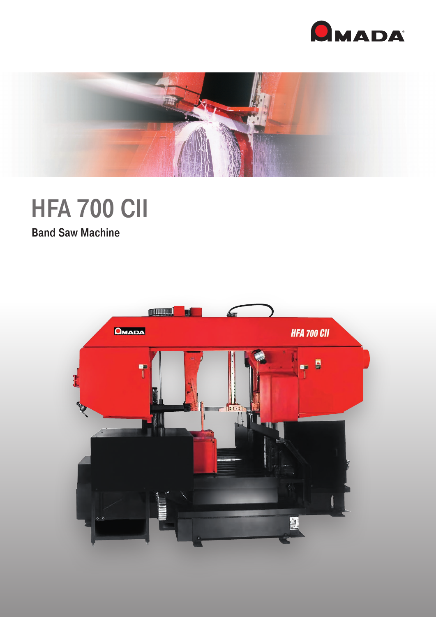



# **HFA 700 CII**

Band Saw Machine